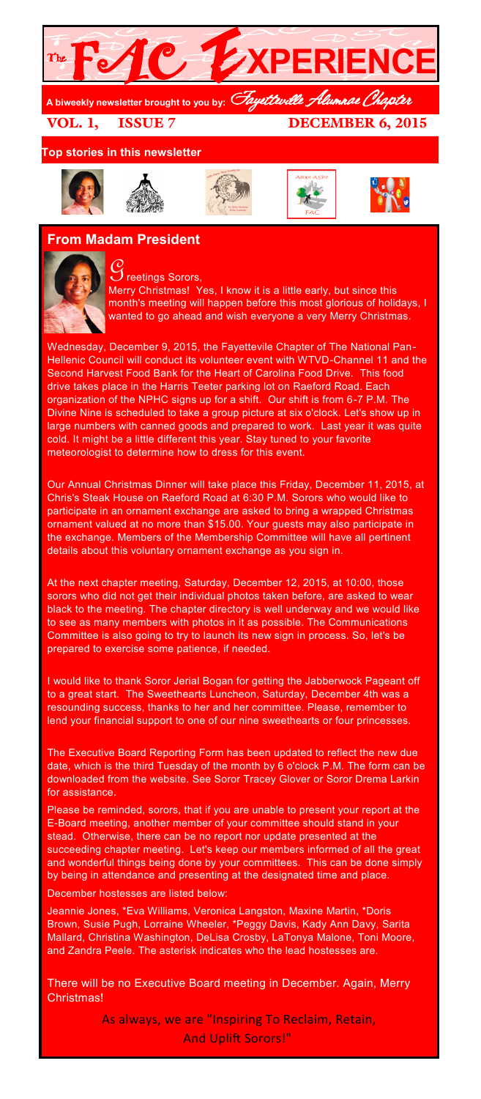

VOL. 1, ISSUE 7 DECEMBER 6, 2015

**Top stories in this newsletter**











# **From Madam President**



 $\mathcal G$  reetings Sorors, Merry Christmas! Yes, I know it is a little early, but since this month's meeting will happen before this most glorious of holidays, I wanted to go ahead and wish everyone a very Merry Christmas.

Wednesday, December 9, 2015, the Fayettevile Chapter of The National Pan-Hellenic Council will conduct its volunteer event with WTVD-Channel 11 and the Second Harvest Food Bank for the Heart of Carolina Food Drive. This food drive takes place in the Harris Teeter parking lot on Raeford Road. Each organization of the NPHC signs up for a shift. Our shift is from 6-7 P.M. The Divine Nine is scheduled to take a group picture at six o'clock. Let's show up in large numbers with canned goods and prepared to work. Last year it was quite cold. It might be a little different this year. Stay tuned to your favorite meteorologist to determine how to dress for this event.

Our Annual Christmas Dinner will take place this Friday, December 11, 2015, at Chris's Steak House on Raeford Road at 6:30 P.M. Sorors who would like to participate in an ornament exchange are asked to bring a wrapped Christmas ornament valued at no more than \$15.00. Your guests may also participate in the exchange. Members of the Membership Committee will have all pertinent details about this voluntary ornament exchange as you sign in.

At the next chapter meeting, Saturday, December 12, 2015, at 10:00, those sorors who did not get their individual photos taken before, are asked to wear black to the meeting. The chapter directory is well underway and we would like to see as many members with photos in it as possible. The Communications Committee is also going to try to launch its new sign in process. So, let's be prepared to exercise some patience, if needed.

I would like to thank Soror Jerial Bogan for getting the Jabberwock Pageant off to a great start. The Sweethearts Luncheon, Saturday, December 4th was a resounding success, thanks to her and her committee. Please, remember to lend your financial support to one of our nine sweethearts or four princesses.

The Executive Board Reporting Form has been updated to reflect the new due date, which is the third Tuesday of the month by 6 o'clock P.M. The form can be downloaded from the website. See Soror Tracey Glover or Soror Drema Larkin for assistance.

Please be reminded, sorors, that if you are unable to present your report at the E-Board meeting, another member of your committee should stand in your stead. Otherwise, there can be no report nor update presented at the succeeding chapter meeting. Let's keep our members informed of all the great and wonderful things being done by your committees. This can be done simply by being in attendance and presenting at the designated time and place.

December hostesses are listed below:

Jeannie Jones, \*Eva Williams, Veronica Langston, Maxine Martin, \*Doris Brown, Susie Pugh, Lorraine Wheeler, \*Peggy Davis, Kady Ann Davy, Sarita Mallard, Christina Washington, DeLisa Crosby, LaTonya Malone, Toni Moore, and Zandra Peele. The asterisk indicates who the lead hostesses are.

There will be no Executive Board meeting in December. Again, Merry Christmas!

> As always, we are "Inspiring To Reclaim, Retain, And Uplift Sorors!"